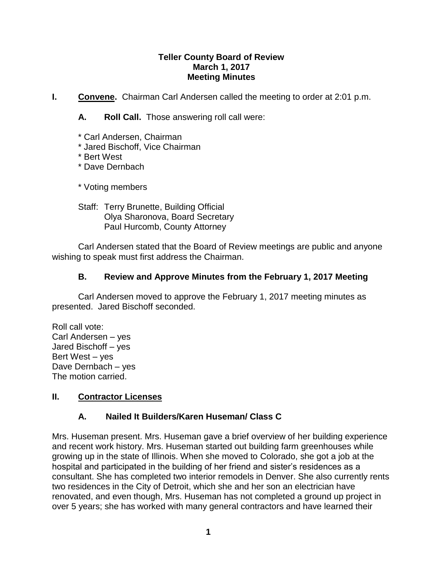## **Teller County Board of Review March 1, 2017 Meeting Minutes**

**I. Convene.** Chairman Carl Andersen called the meeting to order at 2:01 p.m.

**A. Roll Call.** Those answering roll call were:

- \* Carl Andersen, Chairman
- \* Jared Bischoff, Vice Chairman
- \* Bert West
- \* Dave Dernbach

\* Voting members

Staff: Terry Brunette, Building Official Olya Sharonova, Board Secretary Paul Hurcomb, County Attorney

Carl Andersen stated that the Board of Review meetings are public and anyone wishing to speak must first address the Chairman.

## **B. Review and Approve Minutes from the February 1, 2017 Meeting**

Carl Andersen moved to approve the February 1, 2017 meeting minutes as presented. Jared Bischoff seconded.

Roll call vote: Carl Andersen – yes Jared Bischoff – yes Bert West – yes Dave Dernbach – yes The motion carried.

## **II. Contractor Licenses**

## **A. Nailed It Builders/Karen Huseman/ Class C**

Mrs. Huseman present. Mrs. Huseman gave a brief overview of her building experience and recent work history. Mrs. Huseman started out building farm greenhouses while growing up in the state of Illinois. When she moved to Colorado, she got a job at the hospital and participated in the building of her friend and sister's residences as a consultant. She has completed two interior remodels in Denver. She also currently rents two residences in the City of Detroit, which she and her son an electrician have renovated, and even though, Mrs. Huseman has not completed a ground up project in over 5 years; she has worked with many general contractors and have learned their